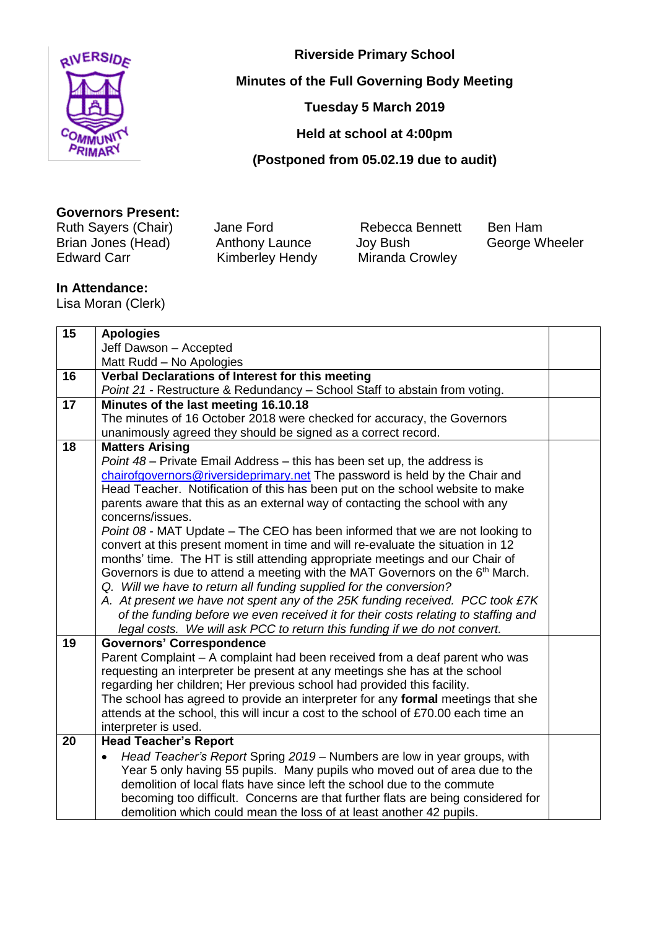

**Riverside Primary School**

**Minutes of the Full Governing Body Meeting**

**Tuesday 5 March 2019** 

**Held at school at 4:00pm**

**(Postponed from 05.02.19 due to audit)**

## **Governors Present:**

Ruth Sayers (Chair) Jane Ford Rebecca Bennett Ben Ham Brian Jones (Head) Anthony Launce Joy Bush George Wheeler<br>Edward Carr George Kimberley Hendy Miranda Crowley Kimberley Hendy Miranda Crowley

## **In Attendance:**

Lisa Moran (Clerk)

| 15 | <b>Apologies</b>                                                                                                                                      |  |
|----|-------------------------------------------------------------------------------------------------------------------------------------------------------|--|
|    | Jeff Dawson - Accepted                                                                                                                                |  |
|    | Matt Rudd - No Apologies                                                                                                                              |  |
| 16 | Verbal Declarations of Interest for this meeting                                                                                                      |  |
|    | Point 21 - Restructure & Redundancy - School Staff to abstain from voting.                                                                            |  |
| 17 | Minutes of the last meeting 16.10.18                                                                                                                  |  |
|    | The minutes of 16 October 2018 were checked for accuracy, the Governors                                                                               |  |
|    | unanimously agreed they should be signed as a correct record.                                                                                         |  |
| 18 | <b>Matters Arising</b>                                                                                                                                |  |
|    | Point 48 - Private Email Address - this has been set up, the address is                                                                               |  |
|    | chairofgovernors@riversideprimary.net The password is held by the Chair and                                                                           |  |
|    | Head Teacher. Notification of this has been put on the school website to make                                                                         |  |
|    | parents aware that this as an external way of contacting the school with any                                                                          |  |
|    | concerns/issues.                                                                                                                                      |  |
|    | Point 08 - MAT Update – The CEO has been informed that we are not looking to                                                                          |  |
|    | convert at this present moment in time and will re-evaluate the situation in 12                                                                       |  |
|    | months' time. The HT is still attending appropriate meetings and our Chair of                                                                         |  |
|    | Governors is due to attend a meeting with the MAT Governors on the 6th March.                                                                         |  |
|    | Q. Will we have to return all funding supplied for the conversion?                                                                                    |  |
|    | A. At present we have not spent any of the 25K funding received. PCC took £7K                                                                         |  |
|    | of the funding before we even received it for their costs relating to staffing and                                                                    |  |
|    | legal costs. We will ask PCC to return this funding if we do not convert.                                                                             |  |
| 19 | <b>Governors' Correspondence</b>                                                                                                                      |  |
|    | Parent Complaint - A complaint had been received from a deaf parent who was                                                                           |  |
|    | requesting an interpreter be present at any meetings she has at the school                                                                            |  |
|    | regarding her children; Her previous school had provided this facility.                                                                               |  |
|    | The school has agreed to provide an interpreter for any formal meetings that she                                                                      |  |
|    | attends at the school, this will incur a cost to the school of £70.00 each time an                                                                    |  |
| 20 | interpreter is used.                                                                                                                                  |  |
|    | <b>Head Teacher's Report</b>                                                                                                                          |  |
|    | Head Teacher's Report Spring 2019 – Numbers are low in year groups, with                                                                              |  |
|    | Year 5 only having 55 pupils. Many pupils who moved out of area due to the<br>demolition of local flats have since left the school due to the commute |  |
|    |                                                                                                                                                       |  |
|    | becoming too difficult. Concerns are that further flats are being considered for                                                                      |  |
|    | demolition which could mean the loss of at least another 42 pupils.                                                                                   |  |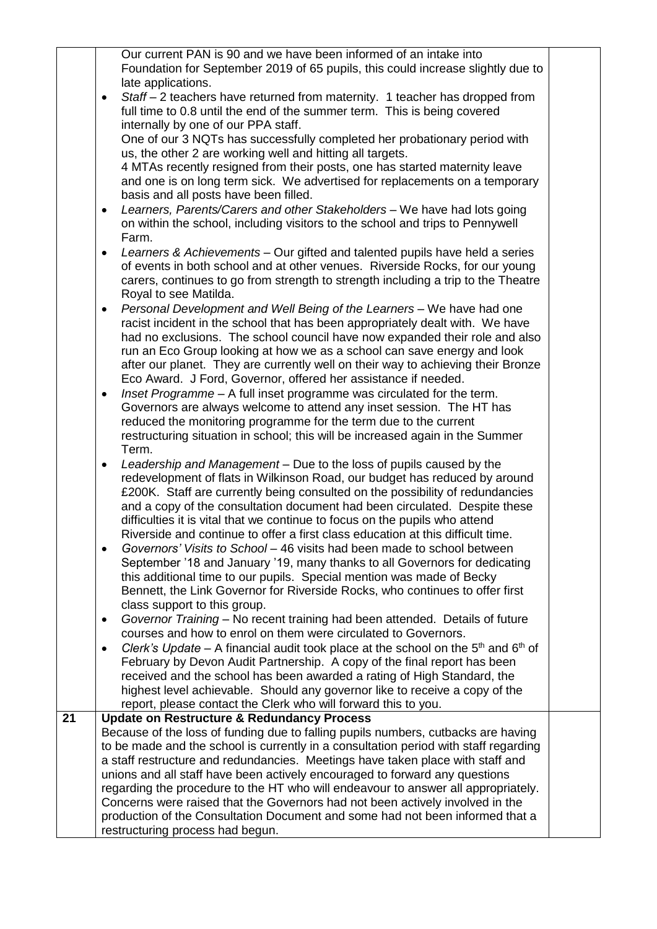|    | Our current PAN is 90 and we have been informed of an intake into                                                                                      |  |
|----|--------------------------------------------------------------------------------------------------------------------------------------------------------|--|
|    | Foundation for September 2019 of 65 pupils, this could increase slightly due to                                                                        |  |
|    | late applications.                                                                                                                                     |  |
|    | Staff - 2 teachers have returned from maternity. 1 teacher has dropped from<br>$\bullet$                                                               |  |
|    | full time to 0.8 until the end of the summer term. This is being covered                                                                               |  |
|    | internally by one of our PPA staff.                                                                                                                    |  |
|    | One of our 3 NQTs has successfully completed her probationary period with                                                                              |  |
|    | us, the other 2 are working well and hitting all targets.                                                                                              |  |
|    | 4 MTAs recently resigned from their posts, one has started maternity leave                                                                             |  |
|    | and one is on long term sick. We advertised for replacements on a temporary                                                                            |  |
|    |                                                                                                                                                        |  |
|    | basis and all posts have been filled.                                                                                                                  |  |
|    | Learners, Parents/Carers and other Stakeholders - We have had lots going<br>$\bullet$                                                                  |  |
|    | on within the school, including visitors to the school and trips to Pennywell                                                                          |  |
|    | Farm.                                                                                                                                                  |  |
|    | Learners & Achievements – Our gifted and talented pupils have held a series<br>$\bullet$                                                               |  |
|    | of events in both school and at other venues. Riverside Rocks, for our young                                                                           |  |
|    | carers, continues to go from strength to strength including a trip to the Theatre                                                                      |  |
|    | Royal to see Matilda.                                                                                                                                  |  |
|    | Personal Development and Well Being of the Learners - We have had one                                                                                  |  |
|    | racist incident in the school that has been appropriately dealt with. We have                                                                          |  |
|    | had no exclusions. The school council have now expanded their role and also<br>run an Eco Group looking at how we as a school can save energy and look |  |
|    | after our planet. They are currently well on their way to achieving their Bronze                                                                       |  |
|    | Eco Award. J Ford, Governor, offered her assistance if needed.                                                                                         |  |
|    | Inset Programme - A full inset programme was circulated for the term.                                                                                  |  |
|    | ٠<br>Governors are always welcome to attend any inset session. The HT has                                                                              |  |
|    | reduced the monitoring programme for the term due to the current                                                                                       |  |
|    | restructuring situation in school; this will be increased again in the Summer                                                                          |  |
|    | Term.                                                                                                                                                  |  |
|    | Leadership and Management - Due to the loss of pupils caused by the<br>$\bullet$                                                                       |  |
|    | redevelopment of flats in Wilkinson Road, our budget has reduced by around                                                                             |  |
|    | £200K. Staff are currently being consulted on the possibility of redundancies                                                                          |  |
|    | and a copy of the consultation document had been circulated. Despite these                                                                             |  |
|    | difficulties it is vital that we continue to focus on the pupils who attend                                                                            |  |
|    | Riverside and continue to offer a first class education at this difficult time.                                                                        |  |
|    | Governors' Visits to School - 46 visits had been made to school between                                                                                |  |
|    | September '18 and January '19, many thanks to all Governors for dedicating                                                                             |  |
|    | this additional time to our pupils. Special mention was made of Becky                                                                                  |  |
|    | Bennett, the Link Governor for Riverside Rocks, who continues to offer first                                                                           |  |
|    | class support to this group.                                                                                                                           |  |
|    | Governor Training - No recent training had been attended. Details of future                                                                            |  |
|    | courses and how to enrol on them were circulated to Governors.                                                                                         |  |
|    | Clerk's Update – A financial audit took place at the school on the $5th$ and $6th$ of                                                                  |  |
|    | February by Devon Audit Partnership. A copy of the final report has been                                                                               |  |
|    | received and the school has been awarded a rating of High Standard, the                                                                                |  |
|    | highest level achievable. Should any governor like to receive a copy of the                                                                            |  |
|    | report, please contact the Clerk who will forward this to you.                                                                                         |  |
| 21 | <b>Update on Restructure &amp; Redundancy Process</b>                                                                                                  |  |
|    | Because of the loss of funding due to falling pupils numbers, cutbacks are having                                                                      |  |
|    | to be made and the school is currently in a consultation period with staff regarding                                                                   |  |
|    | a staff restructure and redundancies. Meetings have taken place with staff and                                                                         |  |
|    | unions and all staff have been actively encouraged to forward any questions                                                                            |  |
|    | regarding the procedure to the HT who will endeavour to answer all appropriately.                                                                      |  |
|    | Concerns were raised that the Governors had not been actively involved in the                                                                          |  |
|    | production of the Consultation Document and some had not been informed that a                                                                          |  |
|    | restructuring process had begun.                                                                                                                       |  |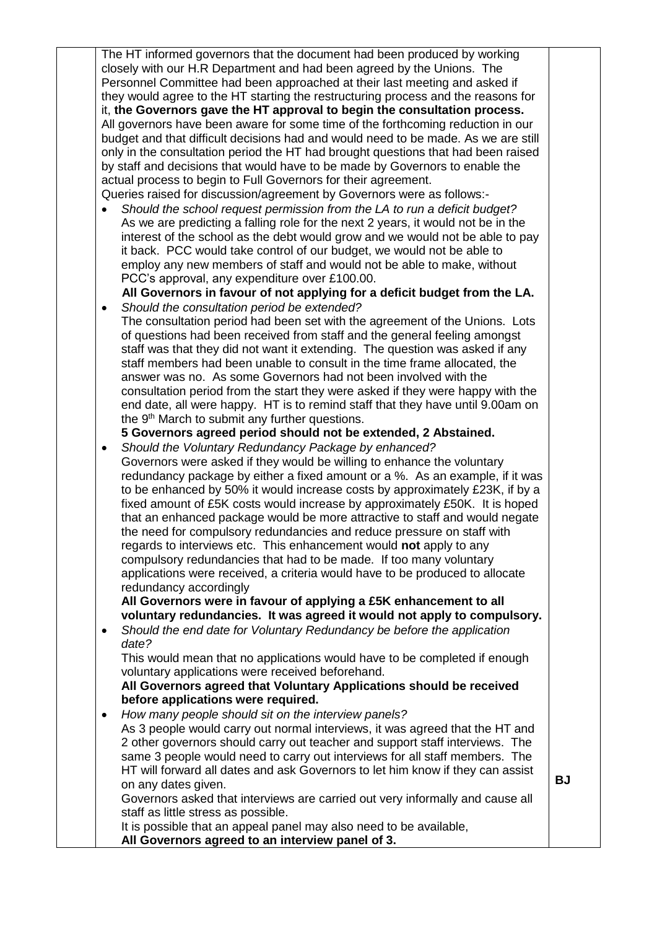The HT informed governors that the document had been produced by working closely with our H.R Department and had been agreed by the Unions. The Personnel Committee had been approached at their last meeting and asked if they would agree to the HT starting the restructuring process and the reasons for it, **the Governors gave the HT approval to begin the consultation process.** All governors have been aware for some time of the forthcoming reduction in our budget and that difficult decisions had and would need to be made. As we are still only in the consultation period the HT had brought questions that had been raised by staff and decisions that would have to be made by Governors to enable the actual process to begin to Full Governors for their agreement. Queries raised for discussion/agreement by Governors were as follows:-

 *Should the school request permission from the LA to run a deficit budget?* As we are predicting a falling role for the next 2 years, it would not be in the interest of the school as the debt would grow and we would not be able to pay it back. PCC would take control of our budget, we would not be able to employ any new members of staff and would not be able to make, without PCC's approval, any expenditure over £100.00.

 **All Governors in favour of not applying for a deficit budget from the LA.** *Should the consultation period be extended?* 

The consultation period had been set with the agreement of the Unions. Lots of questions had been received from staff and the general feeling amongst staff was that they did not want it extending. The question was asked if any staff members had been unable to consult in the time frame allocated, the answer was no. As some Governors had not been involved with the consultation period from the start they were asked if they were happy with the end date, all were happy. HT is to remind staff that they have until 9.00am on the 9<sup>th</sup> March to submit any further questions.

**5 Governors agreed period should not be extended, 2 Abstained.**

 *Should the Voluntary Redundancy Package by enhanced?* Governors were asked if they would be willing to enhance the voluntary redundancy package by either a fixed amount or a %. As an example, if it was to be enhanced by 50% it would increase costs by approximately £23K, if by a fixed amount of £5K costs would increase by approximately £50K. It is hoped that an enhanced package would be more attractive to staff and would negate the need for compulsory redundancies and reduce pressure on staff with regards to interviews etc. This enhancement would **not** apply to any compulsory redundancies that had to be made. If too many voluntary applications were received, a criteria would have to be produced to allocate redundancy accordingly

**All Governors were in favour of applying a £5K enhancement to all voluntary redundancies. It was agreed it would not apply to compulsory.** 

 *Should the end date for Voluntary Redundancy be before the application date?* 

This would mean that no applications would have to be completed if enough voluntary applications were received beforehand.

## **All Governors agreed that Voluntary Applications should be received before applications were required.**

 *How many people should sit on the interview panels?* As 3 people would carry out normal interviews, it was agreed that the HT and 2 other governors should carry out teacher and support staff interviews. The same 3 people would need to carry out interviews for all staff members. The HT will forward all dates and ask Governors to let him know if they can assist on any dates given. Governors asked that interviews are carried out very informally and cause all staff as little stress as possible.

**BJ**

It is possible that an appeal panel may also need to be available,

**All Governors agreed to an interview panel of 3.**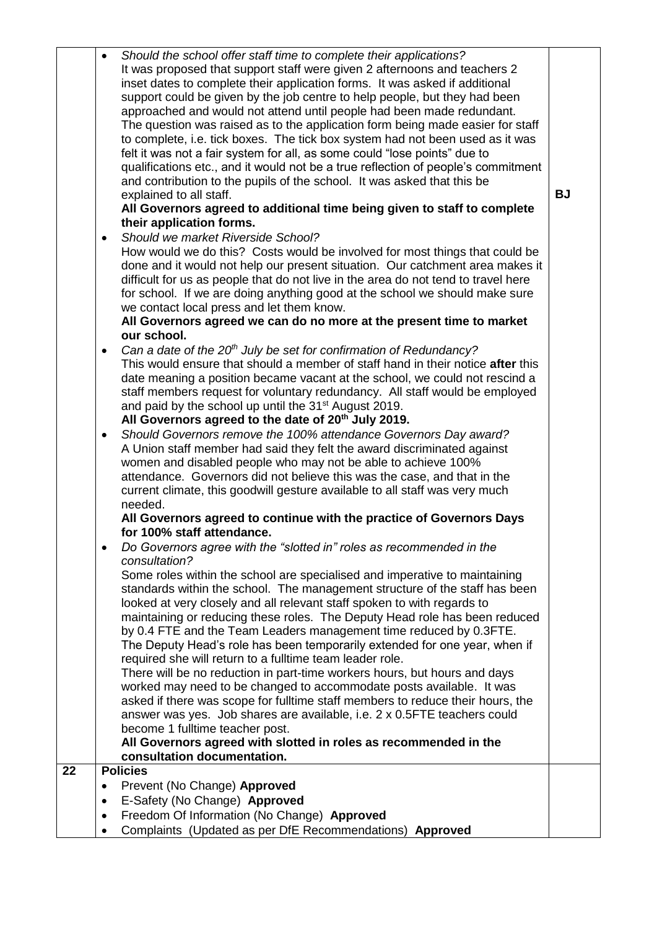|    | Should the school offer staff time to complete their applications?<br>It was proposed that support staff were given 2 afternoons and teachers 2<br>inset dates to complete their application forms. It was asked if additional<br>support could be given by the job centre to help people, but they had been<br>approached and would not attend until people had been made redundant.<br>The question was raised as to the application form being made easier for staff<br>to complete, i.e. tick boxes. The tick box system had not been used as it was<br>felt it was not a fair system for all, as some could "lose points" due to<br>qualifications etc., and it would not be a true reflection of people's commitment<br>and contribution to the pupils of the school. It was asked that this be<br>explained to all staff.<br>All Governors agreed to additional time being given to staff to complete<br>their application forms.<br>Should we market Riverside School?<br>$\bullet$<br>How would we do this? Costs would be involved for most things that could be<br>done and it would not help our present situation. Our catchment area makes it<br>difficult for us as people that do not live in the area do not tend to travel here<br>for school. If we are doing anything good at the school we should make sure<br>we contact local press and let them know.<br>All Governors agreed we can do no more at the present time to market<br>our school.<br>Can a date of the $20th$ July be set for confirmation of Redundancy?<br>$\bullet$<br>This would ensure that should a member of staff hand in their notice after this<br>date meaning a position became vacant at the school, we could not rescind a<br>staff members request for voluntary redundancy. All staff would be employed<br>and paid by the school up until the 31 <sup>st</sup> August 2019.<br>All Governors agreed to the date of 20th July 2019.<br>Should Governors remove the 100% attendance Governors Day award?<br>$\bullet$<br>A Union staff member had said they felt the award discriminated against<br>women and disabled people who may not be able to achieve 100%<br>attendance. Governors did not believe this was the case, and that in the<br>current climate, this goodwill gesture available to all staff was very much<br>needed.<br>All Governors agreed to continue with the practice of Governors Days<br>for 100% staff attendance.<br>Do Governors agree with the "slotted in" roles as recommended in the<br>consultation?<br>Some roles within the school are specialised and imperative to maintaining<br>standards within the school. The management structure of the staff has been<br>looked at very closely and all relevant staff spoken to with regards to<br>maintaining or reducing these roles. The Deputy Head role has been reduced<br>by 0.4 FTE and the Team Leaders management time reduced by 0.3FTE.<br>The Deputy Head's role has been temporarily extended for one year, when if<br>required she will return to a fulltime team leader role.<br>There will be no reduction in part-time workers hours, but hours and days<br>worked may need to be changed to accommodate posts available. It was<br>asked if there was scope for fulltime staff members to reduce their hours, the<br>answer was yes. Job shares are available, i.e. 2 x 0.5FTE teachers could<br>become 1 fulltime teacher post.<br>All Governors agreed with slotted in roles as recommended in the | <b>BJ</b> |
|----|----------------------------------------------------------------------------------------------------------------------------------------------------------------------------------------------------------------------------------------------------------------------------------------------------------------------------------------------------------------------------------------------------------------------------------------------------------------------------------------------------------------------------------------------------------------------------------------------------------------------------------------------------------------------------------------------------------------------------------------------------------------------------------------------------------------------------------------------------------------------------------------------------------------------------------------------------------------------------------------------------------------------------------------------------------------------------------------------------------------------------------------------------------------------------------------------------------------------------------------------------------------------------------------------------------------------------------------------------------------------------------------------------------------------------------------------------------------------------------------------------------------------------------------------------------------------------------------------------------------------------------------------------------------------------------------------------------------------------------------------------------------------------------------------------------------------------------------------------------------------------------------------------------------------------------------------------------------------------------------------------------------------------------------------------------------------------------------------------------------------------------------------------------------------------------------------------------------------------------------------------------------------------------------------------------------------------------------------------------------------------------------------------------------------------------------------------------------------------------------------------------------------------------------------------------------------------------------------------------------------------------------------------------------------------------------------------------------------------------------------------------------------------------------------------------------------------------------------------------------------------------------------------------------------------------------------------------------------------------------------------------------------------------------------------------------------------------------------------------------------------------------------------------------------------------------------------------------------------------------------------------------------------------------------------------------------------------------------------------------------------------------------------------------------------------------------------------------------------------------------------------|-----------|
|    | consultation documentation.                                                                                                                                                                                                                                                                                                                                                                                                                                                                                                                                                                                                                                                                                                                                                                                                                                                                                                                                                                                                                                                                                                                                                                                                                                                                                                                                                                                                                                                                                                                                                                                                                                                                                                                                                                                                                                                                                                                                                                                                                                                                                                                                                                                                                                                                                                                                                                                                                                                                                                                                                                                                                                                                                                                                                                                                                                                                                                                                                                                                                                                                                                                                                                                                                                                                                                                                                                                                                                                                              |           |
| 22 | <b>Policies</b>                                                                                                                                                                                                                                                                                                                                                                                                                                                                                                                                                                                                                                                                                                                                                                                                                                                                                                                                                                                                                                                                                                                                                                                                                                                                                                                                                                                                                                                                                                                                                                                                                                                                                                                                                                                                                                                                                                                                                                                                                                                                                                                                                                                                                                                                                                                                                                                                                                                                                                                                                                                                                                                                                                                                                                                                                                                                                                                                                                                                                                                                                                                                                                                                                                                                                                                                                                                                                                                                                          |           |
|    | Prevent (No Change) Approved                                                                                                                                                                                                                                                                                                                                                                                                                                                                                                                                                                                                                                                                                                                                                                                                                                                                                                                                                                                                                                                                                                                                                                                                                                                                                                                                                                                                                                                                                                                                                                                                                                                                                                                                                                                                                                                                                                                                                                                                                                                                                                                                                                                                                                                                                                                                                                                                                                                                                                                                                                                                                                                                                                                                                                                                                                                                                                                                                                                                                                                                                                                                                                                                                                                                                                                                                                                                                                                                             |           |
|    | E-Safety (No Change) Approved                                                                                                                                                                                                                                                                                                                                                                                                                                                                                                                                                                                                                                                                                                                                                                                                                                                                                                                                                                                                                                                                                                                                                                                                                                                                                                                                                                                                                                                                                                                                                                                                                                                                                                                                                                                                                                                                                                                                                                                                                                                                                                                                                                                                                                                                                                                                                                                                                                                                                                                                                                                                                                                                                                                                                                                                                                                                                                                                                                                                                                                                                                                                                                                                                                                                                                                                                                                                                                                                            |           |
|    | Freedom Of Information (No Change) Approved<br>٠                                                                                                                                                                                                                                                                                                                                                                                                                                                                                                                                                                                                                                                                                                                                                                                                                                                                                                                                                                                                                                                                                                                                                                                                                                                                                                                                                                                                                                                                                                                                                                                                                                                                                                                                                                                                                                                                                                                                                                                                                                                                                                                                                                                                                                                                                                                                                                                                                                                                                                                                                                                                                                                                                                                                                                                                                                                                                                                                                                                                                                                                                                                                                                                                                                                                                                                                                                                                                                                         |           |
|    | Complaints (Updated as per DfE Recommendations) Approved                                                                                                                                                                                                                                                                                                                                                                                                                                                                                                                                                                                                                                                                                                                                                                                                                                                                                                                                                                                                                                                                                                                                                                                                                                                                                                                                                                                                                                                                                                                                                                                                                                                                                                                                                                                                                                                                                                                                                                                                                                                                                                                                                                                                                                                                                                                                                                                                                                                                                                                                                                                                                                                                                                                                                                                                                                                                                                                                                                                                                                                                                                                                                                                                                                                                                                                                                                                                                                                 |           |